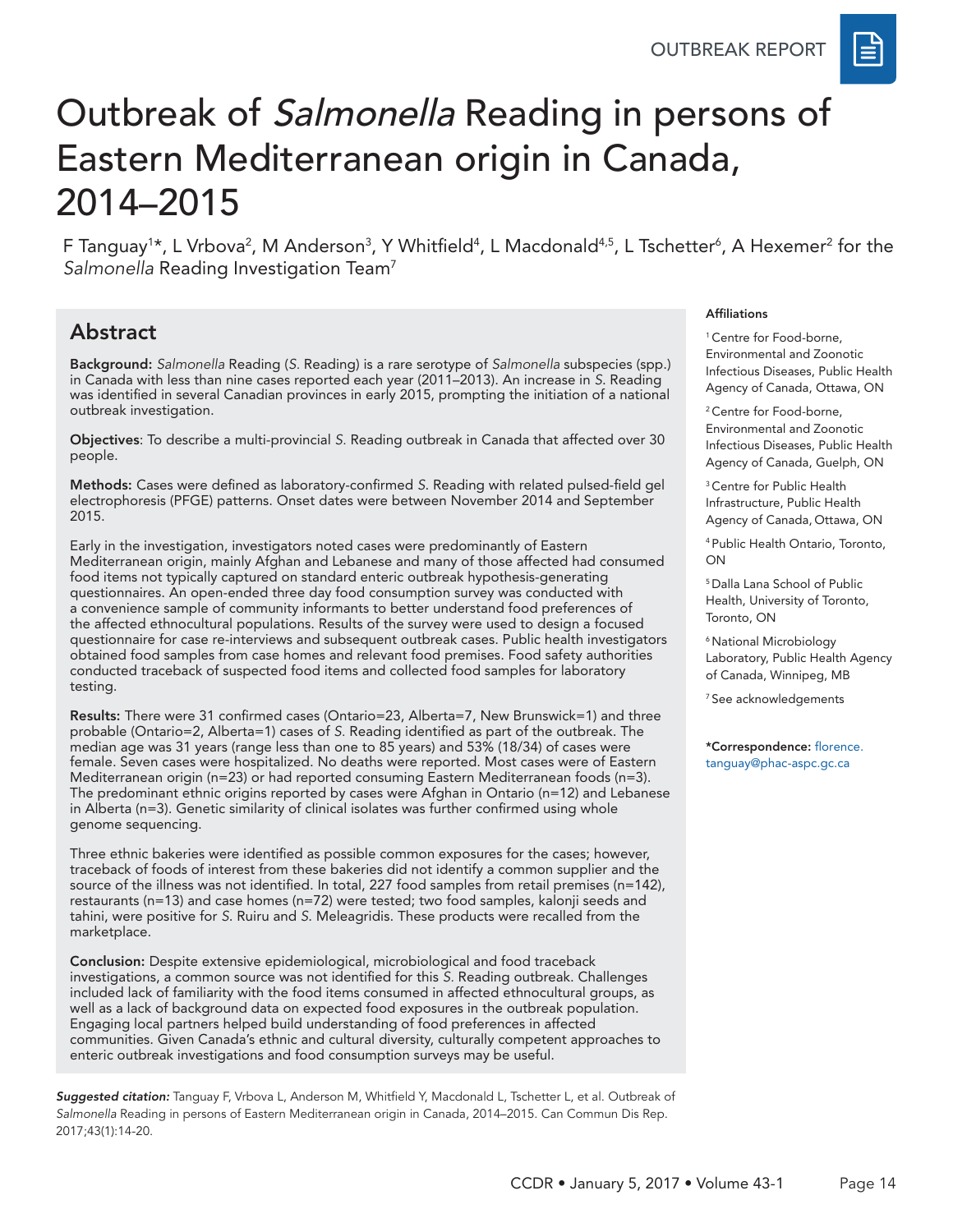

# Outbreak of Salmonella Reading in persons of Eastern Mediterranean origin in Canada, 2014–2015

F Tanguay<sup>1</sup>\*, L Vrbova<sup>2</sup>, M Anderson<sup>3</sup>, Y Whitfield<sup>4</sup>, L Macdonald<sup>4,5</sup>, L Tschetter<sup>6</sup>, A Hexemer<sup>2</sup> for the *Salmonella* Reading Investigation Team7

# Abstract

Background: *Salmonella* Reading (*S.* Reading) is a rare serotype of *Salmonella* subspecies (spp.) in Canada with less than nine cases reported each year (2011–2013). An increase in *S*. Reading was identified in several Canadian provinces in early 2015, prompting the initiation of a national outbreak investigation.

Objectives: To describe a multi-provincial *S.* Reading outbreak in Canada that affected over 30 people.

Methods: Cases were defined as laboratory-confirmed *S*. Reading with related pulsed-field gel electrophoresis (PFGE) patterns. Onset dates were between November 2014 and September 2015.

Early in the investigation, investigators noted cases were predominantly of Eastern Mediterranean origin, mainly Afghan and Lebanese and many of those affected had consumed food items not typically captured on standard enteric outbreak hypothesis-generating questionnaires. An open-ended three day food consumption survey was conducted with a convenience sample of community informants to better understand food preferences of the affected ethnocultural populations. Results of the survey were used to design a focused questionnaire for case re-interviews and subsequent outbreak cases. Public health investigators obtained food samples from case homes and relevant food premises. Food safety authorities conducted traceback of suspected food items and collected food samples for laboratory testing.

Results: There were 31 confirmed cases (Ontario=23, Alberta=7, New Brunswick=1) and three probable (Ontario=2, Alberta=1) cases of *S.* Reading identified as part of the outbreak. The median age was 31 years (range less than one to 85 years) and 53% (18/34) of cases were female. Seven cases were hospitalized. No deaths were reported. Most cases were of Eastern Mediterranean origin (n=23) or had reported consuming Eastern Mediterranean foods (n=3). The predominant ethnic origins reported by cases were Afghan in Ontario (n=12) and Lebanese in Alberta (n=3). Genetic similarity of clinical isolates was further confirmed using whole genome sequencing.

Three ethnic bakeries were identified as possible common exposures for the cases; however, traceback of foods of interest from these bakeries did not identify a common supplier and the source of the illness was not identified. In total, 227 food samples from retail premises (n=142), restaurants (n=13) and case homes (n=72) were tested; two food samples, kalonji seeds and tahini, were positive for *S*. Ruiru and *S*. Meleagridis. These products were recalled from the marketplace.

Conclusion: Despite extensive epidemiological, microbiological and food traceback investigations, a common source was not identified for this *S.* Reading outbreak. Challenges included lack of familiarity with the food items consumed in affected ethnocultural groups, as well as a lack of background data on expected food exposures in the outbreak population. Engaging local partners helped build understanding of food preferences in affected communities. Given Canada's ethnic and cultural diversity, culturally competent approaches to enteric outbreak investigations and food consumption surveys may be useful.

*Suggested citation:* Tanguay F, Vrbova L, Anderson M, Whitfield Y, Macdonald L, Tschetter L, et al. Outbreak of *Salmonella* Reading in persons of Eastern Mediterranean origin in Canada, 2014–2015. Can Commun Dis Rep. 2017;43(1):14-20.

#### Affiliations

<sup>1</sup> Centre for Food-borne, Environmental and Zoonotic Infectious Diseases, Public Health Agency of Canada, Ottawa, ON

<sup>2</sup> Centre for Food-borne, Environmental and Zoonotic Infectious Diseases, Public Health Agency of Canada, Guelph, ON

<sup>3</sup> Centre for Public Health Infrastructure, Public Health Agency of Canada, Ottawa, ON

4 Public Health Ontario, Toronto, ON

5 Dalla Lana School of Public Health, University of Toronto, Toronto, ON

6 National Microbiology Laboratory, Public Health Agency of Canada, Winnipeg, MB

7 See acknowledgements

\*Correspondence: florence. tanguay@phac-aspc.gc.ca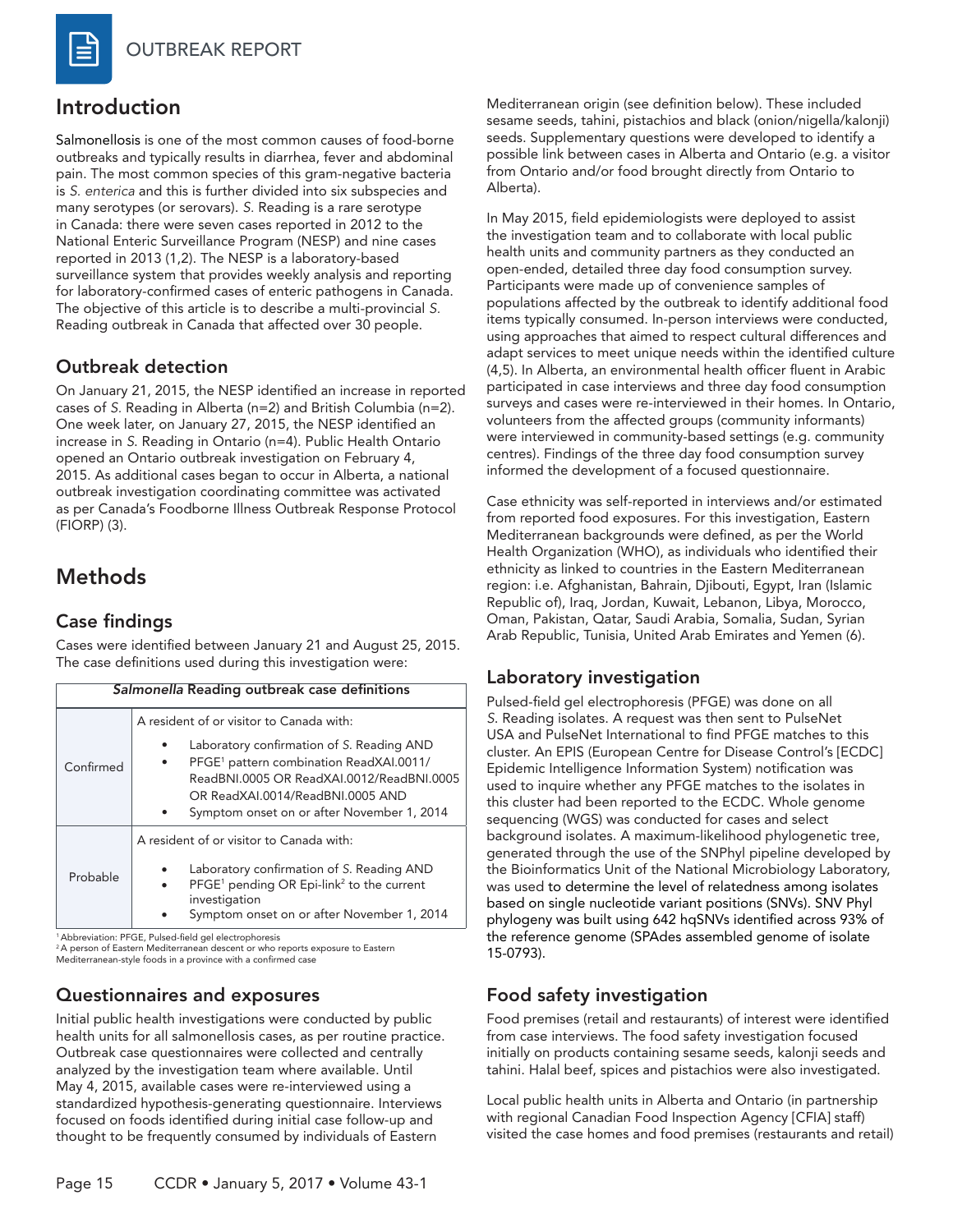

## Introduction

Salmonellosis is one of the most common causes of food-borne outbreaks and typically results in diarrhea, fever and abdominal pain. The most common species of this gram-negative bacteria is *S. enterica* and this is further divided into six subspecies and many serotypes (or serovars). *S.* Reading is a rare serotype in Canada: there were seven cases reported in 2012 to the National Enteric Surveillance Program (NESP) and nine cases reported in 2013 (1,2). The NESP is a laboratory-based surveillance system that provides weekly analysis and reporting for laboratory-confirmed cases of enteric pathogens in Canada. The objective of this article is to describe a multi-provincial *S.* Reading outbreak in Canada that affected over 30 people.

#### Outbreak detection

On January 21, 2015, the NESP identified an increase in reported cases of *S.* Reading in Alberta (n=2) and British Columbia (n=2). One week later, on January 27, 2015, the NESP identified an increase in *S*. Reading in Ontario (n=4). Public Health Ontario opened an Ontario outbreak investigation on February 4, 2015. As additional cases began to occur in Alberta, a national outbreak investigation coordinating committee was activated as per Canada's Foodborne Illness Outbreak Response Protocol (FIORP) (3).

# Methods

#### Case findings

Cases were identified between January 21 and August 25, 2015. The case definitions used during this investigation were:

|  | Salmonella Reading outbreak case definitions |                                                                                                                                                                                                                                         |  |  |  |  |  |
|--|----------------------------------------------|-----------------------------------------------------------------------------------------------------------------------------------------------------------------------------------------------------------------------------------------|--|--|--|--|--|
|  |                                              | A resident of or visitor to Canada with:                                                                                                                                                                                                |  |  |  |  |  |
|  | Confirmed                                    | Laboratory confirmation of S. Reading AND<br>PFGE <sup>1</sup> pattern combination ReadXAI.0011/<br>٠<br>ReadBNI.0005 OR ReadXAI.0012/ReadBNI.0005<br>OR ReadXAL0014/ReadBNL0005 AND<br>Symptom onset on or after November 1, 2014<br>٠ |  |  |  |  |  |
|  | Probable                                     | A resident of or visitor to Canada with:<br>Laboratory confirmation of S. Reading AND<br>PFGE <sup>1</sup> pending OR Epi-link <sup>2</sup> to the current<br>$\bullet$<br>investigation<br>Symptom onset on or after November 1, 2014  |  |  |  |  |  |

1 Abbreviation: PFGE, Pulsed-field gel electrophoresis

<sup>2</sup>A person of Eastern Mediterranean descent or who reports exposure to Eastern Mediterranean-style foods in a province with a confirmed case

### Questionnaires and exposures

Initial public health investigations were conducted by public health units for all salmonellosis cases, as per routine practice. Outbreak case questionnaires were collected and centrally analyzed by the investigation team where available. Until May 4, 2015, available cases were re-interviewed using a standardized hypothesis-generating questionnaire. Interviews focused on foods identified during initial case follow-up and thought to be frequently consumed by individuals of Eastern

Mediterranean origin (see definition below). These included sesame seeds, tahini, pistachios and black (onion/nigella/kalonji) seeds. Supplementary questions were developed to identify a possible link between cases in Alberta and Ontario (e.g. a visitor from Ontario and/or food brought directly from Ontario to Alberta).

In May 2015, field epidemiologists were deployed to assist the investigation team and to collaborate with local public health units and community partners as they conducted an open-ended, detailed three day food consumption survey. Participants were made up of convenience samples of populations affected by the outbreak to identify additional food items typically consumed. In-person interviews were conducted, using approaches that aimed to respect cultural differences and adapt services to meet unique needs within the identified culture (4,5). In Alberta, an environmental health officer fluent in Arabic participated in case interviews and three day food consumption surveys and cases were re-interviewed in their homes. In Ontario, volunteers from the affected groups (community informants) were interviewed in community-based settings (e.g. community centres). Findings of the three day food consumption survey informed the development of a focused questionnaire.

Case ethnicity was self-reported in interviews and/or estimated from reported food exposures. For this investigation, Eastern Mediterranean backgrounds were defined, as per the World Health Organization (WHO), as individuals who identified their ethnicity as linked to countries in the Eastern Mediterranean region: i.e. Afghanistan, Bahrain, Djibouti, Egypt, Iran (Islamic Republic of), Iraq, Jordan, Kuwait, Lebanon, Libya, Morocco, Oman, Pakistan, Qatar, Saudi Arabia, Somalia, Sudan, Syrian Arab Republic, Tunisia, United Arab Emirates and Yemen (6).

### Laboratory investigation

Pulsed-field gel electrophoresis (PFGE) was done on all *S*. Reading isolates. A request was then sent to PulseNet USA and PulseNet International to find PFGE matches to this cluster. An EPIS (European Centre for Disease Control's [ECDC] Epidemic Intelligence Information System) notification was used to inquire whether any PFGE matches to the isolates in this cluster had been reported to the ECDC. Whole genome sequencing (WGS) was conducted for cases and select background isolates. A maximum-likelihood phylogenetic tree, generated through the use of the SNPhyl pipeline developed by the Bioinformatics Unit of the National Microbiology Laboratory, was used to determine the level of relatedness among isolates based on single nucleotide variant positions (SNVs). SNV Phyl phylogeny was built using 642 hqSNVs identified across 93% of the reference genome (SPAdes assembled genome of isolate 15-0793).

## Food safety investigation

Food premises (retail and restaurants) of interest were identified from case interviews. The food safety investigation focused initially on products containing sesame seeds, kalonji seeds and tahini. Halal beef, spices and pistachios were also investigated.

Local public health units in Alberta and Ontario (in partnership with regional Canadian Food Inspection Agency [CFIA] staff) visited the case homes and food premises (restaurants and retail)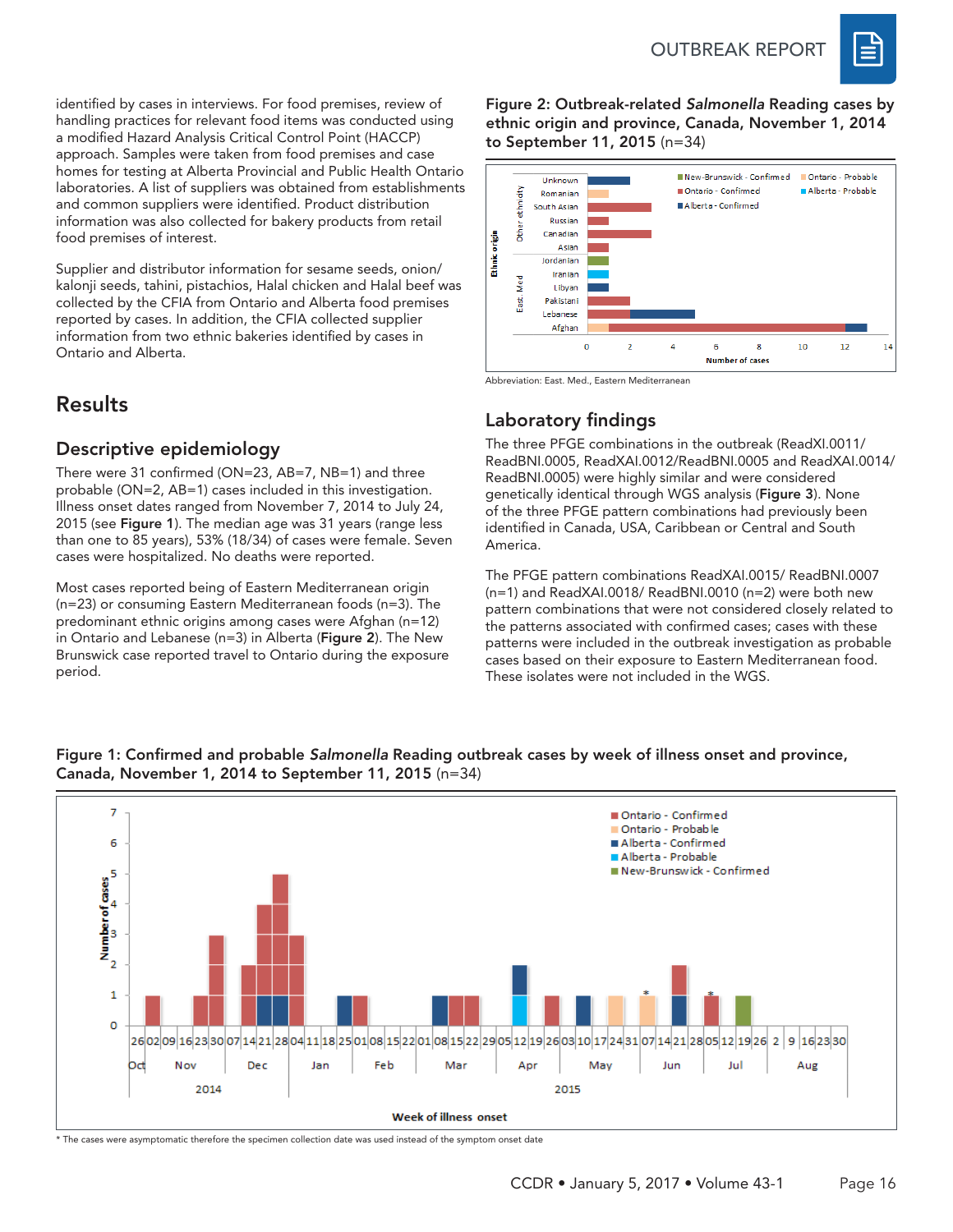

identified by cases in interviews. For food premises, review of handling practices for relevant food items was conducted using a modified Hazard Analysis Critical Control Point (HACCP) approach. Samples were taken from food premises and case homes for testing at Alberta Provincial and Public Health Ontario laboratories. A list of suppliers was obtained from establishments and common suppliers were identified. Product distribution information was also collected for bakery products from retail food premises of interest.

Supplier and distributor information for sesame seeds, onion/ kalonji seeds, tahini, pistachios, Halal chicken and Halal beef was collected by the CFIA from Ontario and Alberta food premises reported by cases. In addition, the CFIA collected supplier information from two ethnic bakeries identified by cases in Ontario and Alberta.

# Results

### Descriptive epidemiology

There were 31 confirmed (ON=23, AB=7, NB=1) and three probable (ON=2, AB=1) cases included in this investigation. Illness onset dates ranged from November 7, 2014 to July 24, 2015 (see Figure 1). The median age was 31 years (range less than one to 85 years), 53% (18/34) of cases were female. Seven cases were hospitalized. No deaths were reported.

Most cases reported being of Eastern Mediterranean origin (n=23) or consuming Eastern Mediterranean foods (n=3). The predominant ethnic origins among cases were Afghan (n=12) in Ontario and Lebanese (n=3) in Alberta (Figure 2). The New Brunswick case reported travel to Ontario during the exposure period.

Figure 2: Outbreak-related *Salmonella* Reading cases by ethnic origin and province, Canada, November 1, 2014 to September 11, 2015 (n=34)



Abbreviation: East. Med., Eastern Mediterranean

# Laboratory findings

The three PFGE combinations in the outbreak (ReadXI.0011/ ReadBNI.0005, ReadXAI.0012/ReadBNI.0005 and ReadXAI.0014/ ReadBNI.0005) were highly similar and were considered genetically identical through WGS analysis (Figure 3). None of the three PFGE pattern combinations had previously been identified in Canada, USA, Caribbean or Central and South America.

The PFGE pattern combinations ReadXAI.0015/ ReadBNI.0007 (n=1) and ReadXAI.0018/ ReadBNI.0010 (n=2) were both new pattern combinations that were not considered closely related to the patterns associated with confirmed cases; cases with these patterns were included in the outbreak investigation as probable cases based on their exposure to Eastern Mediterranean food. These isolates were not included in the WGS.



#### Figure 1: Confirmed and probable *Salmonella* Reading outbreak cases by week of illness onset and province, Canada, November 1, 2014 to September 11, 2015 (n=34)

\* The cases were asymptomatic therefore the specimen collection date was used instead of the symptom onset date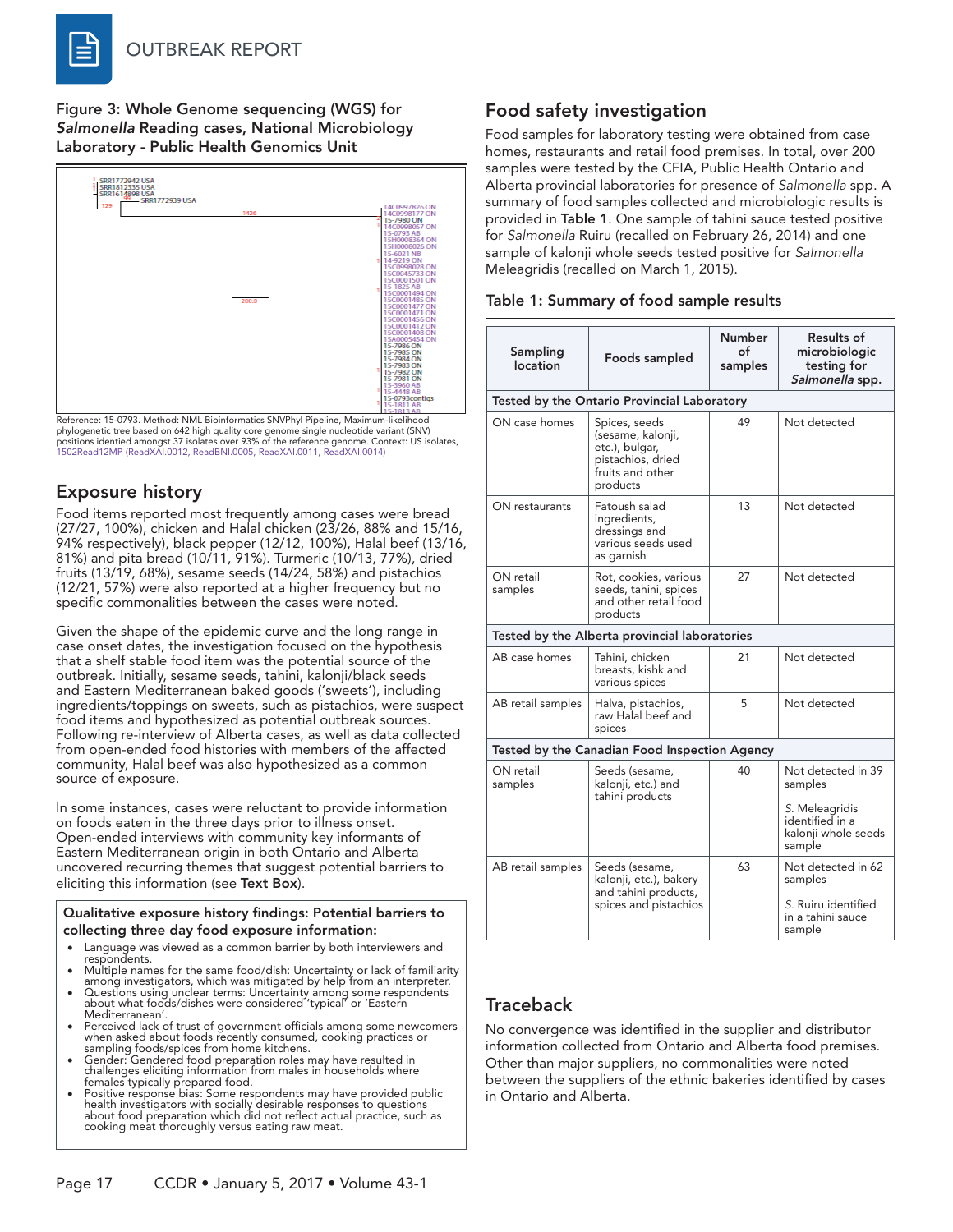Figure 3: Whole Genome sequencing (WGS) for *Salmonella* Reading cases, National Microbiology Laboratory - Public Health Genomics Unit



Reference: 15-0793. Method: NML Bioinformatics SNVPhyl Pipeline, Maximum-likelihood phylogenetic tree based on 642 high quality core genome single nucleotide variant (SNV) positions identied amongst 37 isolates over 93% of the reference genome. Context: US isolates, 1502Read12MP (ReadXAI.0012, ReadBNI.0005, ReadXAI.0011, ReadXAI.0014)

## Exposure history

Food items reported most frequently among cases were bread (27/27, 100%), chicken and Halal chicken (23/26, 88% and 15/16, 94% respectively), black pepper (12/12, 100%), Halal beef (13/16, 81%) and pita bread (10/11, 91%). Turmeric (10/13, 77%), dried fruits (13/19, 68%), sesame seeds (14/24, 58%) and pistachios (12/21, 57%) were also reported at a higher frequency but no specific commonalities between the cases were noted.

Given the shape of the epidemic curve and the long range in case onset dates, the investigation focused on the hypothesis that a shelf stable food item was the potential source of the outbreak. Initially, sesame seeds, tahini, kalonji/black seeds and Eastern Mediterranean baked goods ('sweets'), including ingredients/toppings on sweets, such as pistachios, were suspect food items and hypothesized as potential outbreak sources. Following re-interview of Alberta cases, as well as data collected from open-ended food histories with members of the affected community, Halal beef was also hypothesized as a common source of exposure.

In some instances, cases were reluctant to provide information on foods eaten in the three days prior to illness onset. Open-ended interviews with community key informants of Eastern Mediterranean origin in both Ontario and Alberta uncovered recurring themes that suggest potential barriers to eliciting this information (see Text Box).

Qualitative exposure history findings: Potential barriers to collecting three day food exposure information:

- Language was viewed as a common barrier by both interviewers and<br>respondents. respondents.<br>• Multiple names for the same food/dish: Uncertainty or lack of familiarity
- 
- among investigators, which was mitigated by help from an interpreter.<br>• Questions using unclear terms: Uncertainty among some respondents<br>about what foods/dishes were considered 'typical' or 'Eastern
- Mediterranean'.<br>Perceived lack of trust of government officials among some newcomers when asked about foods recently consumed, cooking practices or<br>sampling foods/spices from home kitchens.
- sampling foods/spices from home kitchens.<br>• Gender: Gendered food preparation roles may have resulted in<br>challenges eliciting information from males in households where
- females typically prepared food. • Positive response bias: Some respondents may have provided public health investigators with socially desirable responses to questions about food preparation which did not reflect actual practice, such as cooking meat thoroughly versus eating raw meat.

### Food safety investigation

Food samples for laboratory testing were obtained from case homes, restaurants and retail food premises. In total, over 200 samples were tested by the CFIA, Public Health Ontario and Alberta provincial laboratories for presence of *Salmonella* spp. A summary of food samples collected and microbiologic results is provided in Table 1. One sample of tahini sauce tested positive for *Salmonella* Ruiru (recalled on February 26, 2014) and one sample of kalonji whole seeds tested positive for *Salmonella* Meleagridis (recalled on March 1, 2015).

| Table 1: Summary of food sample results |  |  |
|-----------------------------------------|--|--|
|-----------------------------------------|--|--|

| Sampling<br>location                          | Foods sampled                                                                                             | Number<br>of<br>samples | Results of<br>microbiologic<br>testing for<br>Salmonella spp.                                       |  |  |  |  |
|-----------------------------------------------|-----------------------------------------------------------------------------------------------------------|-------------------------|-----------------------------------------------------------------------------------------------------|--|--|--|--|
| Tested by the Ontario Provincial Laboratory   |                                                                                                           |                         |                                                                                                     |  |  |  |  |
| ON case homes                                 | Spices, seeds<br>(sesame, kalonji,<br>etc.), bulgar,<br>pistachios, dried<br>fruits and other<br>products | 49                      | Not detected                                                                                        |  |  |  |  |
| ON restaurants                                | Fatoush salad<br>ingredients,<br>dressings and<br>various seeds used<br>as garnish                        | 13                      | Not detected                                                                                        |  |  |  |  |
| ON retail<br>samples                          | Rot, cookies, various<br>seeds, tahini, spices<br>and other retail food<br>products                       | 27                      | Not detected                                                                                        |  |  |  |  |
| Tested by the Alberta provincial laboratories |                                                                                                           |                         |                                                                                                     |  |  |  |  |
| AB case homes                                 | Tahini, chicken<br>breasts, kishk and<br>various spices                                                   | 21                      | Not detected                                                                                        |  |  |  |  |
| AB retail samples                             | Halva, pistachios,<br>raw Halal beef and<br>spices                                                        | 5                       | Not detected                                                                                        |  |  |  |  |
|                                               | Tested by the Canadian Food Inspection Agency                                                             |                         |                                                                                                     |  |  |  |  |
| ON retail<br>samples                          | Seeds (sesame,<br>kalonji, etc.) and<br>tahini products                                                   | 40                      | Not detected in 39<br>samples<br>S. Meleagridis<br>identified in a<br>kalonji whole seeds<br>sample |  |  |  |  |
| AB retail samples                             | Seeds (sesame,<br>kalonji, etc.), bakery<br>and tahini products,<br>spices and pistachios                 | 63                      | Not detected in 62<br>samples<br>S. Ruiru identified<br>in a tahini sauce<br>sample                 |  |  |  |  |

#### **Traceback**

No convergence was identified in the supplier and distributor information collected from Ontario and Alberta food premises. Other than major suppliers, no commonalities were noted between the suppliers of the ethnic bakeries identified by cases in Ontario and Alberta.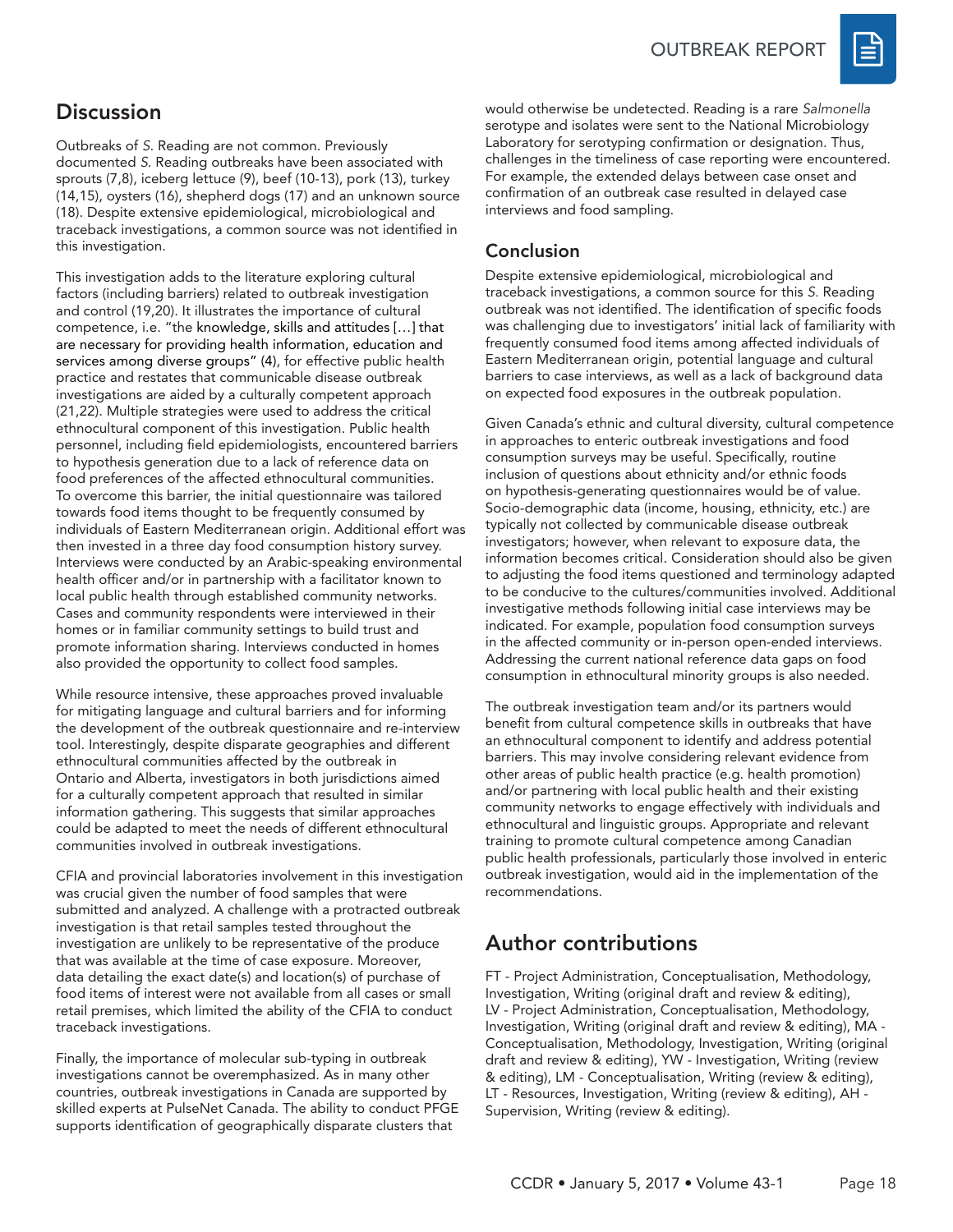OUTBREAK REPORT



# **Discussion**

Outbreaks of *S*. Reading are not common. Previously documented *S*. Reading outbreaks have been associated with sprouts (7,8), iceberg lettuce (9), beef (10-13), pork (13), turkey (14,15), oysters (16), shepherd dogs (17) and an unknown source (18). Despite extensive epidemiological, microbiological and traceback investigations, a common source was not identified in this investigation.

This investigation adds to the literature exploring cultural factors (including barriers) related to outbreak investigation and control (19,20). It illustrates the importance of cultural competence, i.e. "the knowledge, skills and attitudes […] that are necessary for providing health information, education and services among diverse groups" (4), for effective public health practice and restates that communicable disease outbreak investigations are aided by a culturally competent approach (21,22). Multiple strategies were used to address the critical ethnocultural component of this investigation. Public health personnel, including field epidemiologists, encountered barriers to hypothesis generation due to a lack of reference data on food preferences of the affected ethnocultural communities. To overcome this barrier, the initial questionnaire was tailored towards food items thought to be frequently consumed by individuals of Eastern Mediterranean origin. Additional effort was then invested in a three day food consumption history survey. Interviews were conducted by an Arabic-speaking environmental health officer and/or in partnership with a facilitator known to local public health through established community networks. Cases and community respondents were interviewed in their homes or in familiar community settings to build trust and promote information sharing. Interviews conducted in homes also provided the opportunity to collect food samples.

While resource intensive, these approaches proved invaluable for mitigating language and cultural barriers and for informing the development of the outbreak questionnaire and re-interview tool. Interestingly, despite disparate geographies and different ethnocultural communities affected by the outbreak in Ontario and Alberta, investigators in both jurisdictions aimed for a culturally competent approach that resulted in similar information gathering. This suggests that similar approaches could be adapted to meet the needs of different ethnocultural communities involved in outbreak investigations.

CFIA and provincial laboratories involvement in this investigation was crucial given the number of food samples that were submitted and analyzed. A challenge with a protracted outbreak investigation is that retail samples tested throughout the investigation are unlikely to be representative of the produce that was available at the time of case exposure. Moreover, data detailing the exact date(s) and location(s) of purchase of food items of interest were not available from all cases or small retail premises, which limited the ability of the CFIA to conduct traceback investigations.

Finally, the importance of molecular sub-typing in outbreak investigations cannot be overemphasized. As in many other countries, outbreak investigations in Canada are supported by skilled experts at PulseNet Canada. The ability to conduct PFGE supports identification of geographically disparate clusters that

would otherwise be undetected. Reading is a rare *Salmonella* serotype and isolates were sent to the National Microbiology Laboratory for serotyping confirmation or designation. Thus, challenges in the timeliness of case reporting were encountered. For example, the extended delays between case onset and confirmation of an outbreak case resulted in delayed case interviews and food sampling.

#### Conclusion

Despite extensive epidemiological, microbiological and traceback investigations, a common source for this *S.* Reading outbreak was not identified. The identification of specific foods was challenging due to investigators' initial lack of familiarity with frequently consumed food items among affected individuals of Eastern Mediterranean origin, potential language and cultural barriers to case interviews, as well as a lack of background data on expected food exposures in the outbreak population.

Given Canada's ethnic and cultural diversity, cultural competence in approaches to enteric outbreak investigations and food consumption surveys may be useful. Specifically, routine inclusion of questions about ethnicity and/or ethnic foods on hypothesis-generating questionnaires would be of value. Socio-demographic data (income, housing, ethnicity, etc.) are typically not collected by communicable disease outbreak investigators; however, when relevant to exposure data, the information becomes critical. Consideration should also be given to adjusting the food items questioned and terminology adapted to be conducive to the cultures/communities involved. Additional investigative methods following initial case interviews may be indicated. For example, population food consumption surveys in the affected community or in-person open-ended interviews. Addressing the current national reference data gaps on food consumption in ethnocultural minority groups is also needed.

The outbreak investigation team and/or its partners would benefit from cultural competence skills in outbreaks that have an ethnocultural component to identify and address potential barriers. This may involve considering relevant evidence from other areas of public health practice (e.g. health promotion) and/or partnering with local public health and their existing community networks to engage effectively with individuals and ethnocultural and linguistic groups. Appropriate and relevant training to promote cultural competence among Canadian public health professionals, particularly those involved in enteric outbreak investigation, would aid in the implementation of the recommendations.

# Author contributions

FT - Project Administration, Conceptualisation, Methodology, Investigation, Writing (original draft and review & editing), LV - Project Administration, Conceptualisation, Methodology, Investigation, Writing (original draft and review & editing), MA - Conceptualisation, Methodology, Investigation, Writing (original draft and review & editing), YW - Investigation, Writing (review & editing), LM - Conceptualisation, Writing (review & editing), LT - Resources, Investigation, Writing (review & editing), AH - Supervision, Writing (review & editing).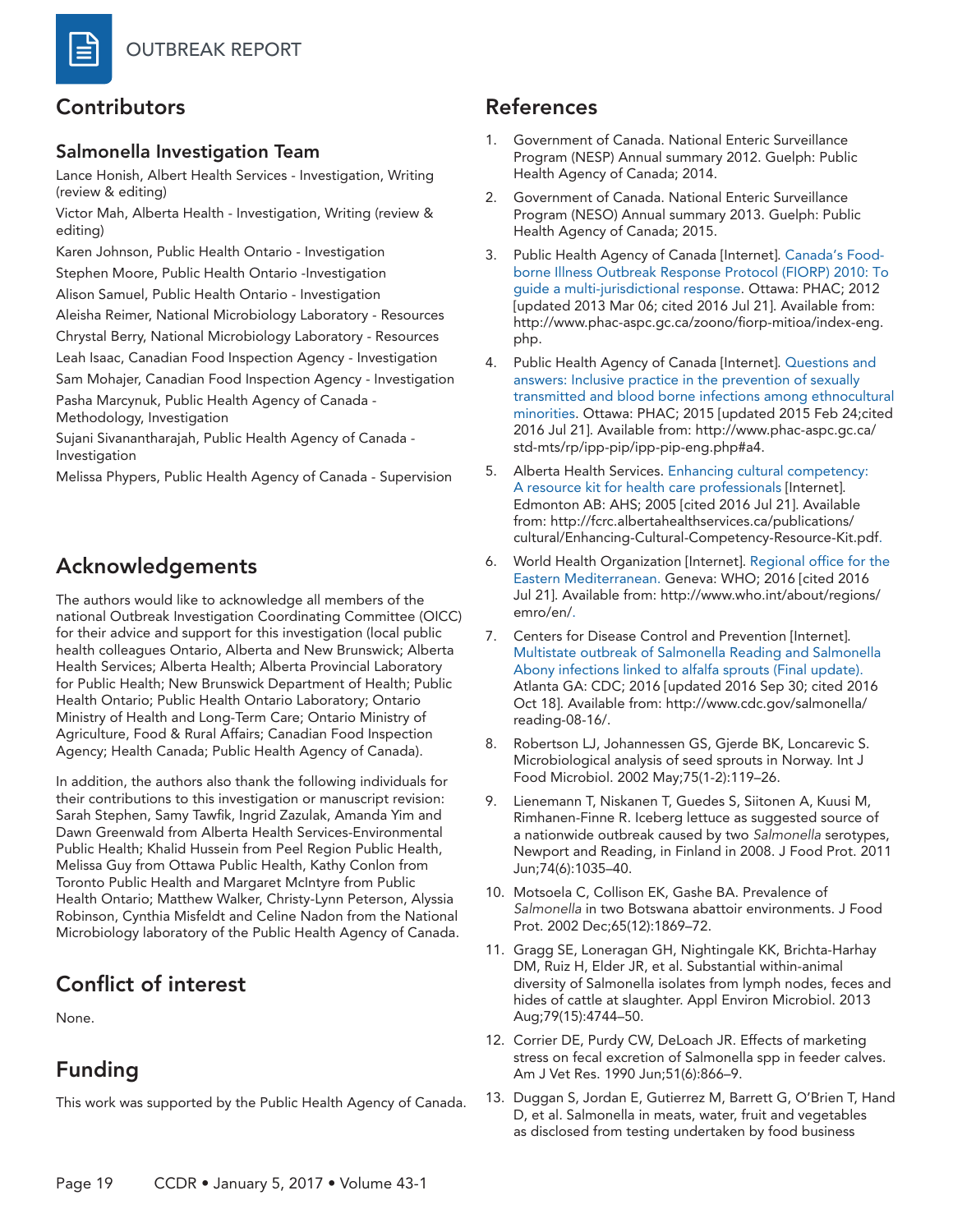# Contributors

#### Salmonella Investigation Team

Lance Honish, Albert Health Services - Investigation, Writing (review & editing)

Victor Mah, Alberta Health - Investigation, Writing (review & editing)

Karen Johnson, Public Health Ontario - Investigation Stephen Moore, Public Health Ontario -Investigation

Alison Samuel, Public Health Ontario - Investigation

Aleisha Reimer, National Microbiology Laboratory - Resources Chrystal Berry, National Microbiology Laboratory - Resources Leah Isaac, Canadian Food Inspection Agency - Investigation Sam Mohajer, Canadian Food Inspection Agency - Investigation

Pasha Marcynuk, Public Health Agency of Canada -

Methodology, Investigation

Sujani Sivanantharajah, Public Health Agency of Canada - Investigation

Melissa Phypers, Public Health Agency of Canada - Supervision

# Acknowledgements

The authors would like to acknowledge all members of the national Outbreak Investigation Coordinating Committee (OICC) for their advice and support for this investigation (local public health colleagues Ontario, Alberta and New Brunswick; Alberta Health Services; Alberta Health; Alberta Provincial Laboratory for Public Health; New Brunswick Department of Health; Public Health Ontario; Public Health Ontario Laboratory; Ontario Ministry of Health and Long-Term Care; Ontario Ministry of Agriculture, Food & Rural Affairs; Canadian Food Inspection Agency; Health Canada; Public Health Agency of Canada).

In addition, the authors also thank the following individuals for their contributions to this investigation or manuscript revision: Sarah Stephen, Samy Tawfik, Ingrid Zazulak, Amanda Yim and Dawn Greenwald from Alberta Health Services-Environmental Public Health; Khalid Hussein from Peel Region Public Health, Melissa Guy from Ottawa Public Health, Kathy Conlon from Toronto Public Health and Margaret McIntyre from Public Health Ontario; Matthew Walker, Christy-Lynn Peterson, Alyssia Robinson, Cynthia Misfeldt and Celine Nadon from the National Microbiology laboratory of the Public Health Agency of Canada.

# Conflict of interest

None.

# Funding

This work was supported by the Public Health Agency of Canada.

# References

- 1. Government of Canada. National Enteric Surveillance Program (NESP) Annual summary 2012. Guelph: Public Health Agency of Canada; 2014.
- 2. Government of Canada. National Enteric Surveillance Program (NESO) Annual summary 2013. Guelph: Public Health Agency of Canada; 2015.
- 3. Public Health Agency of Canada [Internet]. Canada's Foodborne Illness Outbreak Response Protocol (FIORP) 2010: To guide a multi-jurisdictional response. Ottawa: PHAC; 2012 [updated 2013 Mar 06; cited 2016 Jul 21]. Available from: http://www.phac-aspc.gc.ca/zoono/fiorp-mitioa/index-eng. php.
- 4. Public Health Agency of Canada [Internet]. Questions and answers: Inclusive practice in the prevention of sexually transmitted and blood borne infections among ethnocultural minorities. Ottawa: PHAC; 2015 [updated 2015 Feb 24;cited 2016 Jul 21]. Available from: http://www.phac-aspc.gc.ca/ std-mts/rp/ipp-pip/ipp-pip-eng.php#a4.
- 5. Alberta Health Services. Enhancing cultural competency: A resource kit for health care professionals [Internet]. Edmonton AB: AHS; 2005 [cited 2016 Jul 21]. Available from: http://fcrc.albertahealthservices.ca/publications/ cultural/Enhancing-Cultural-Competency-Resource-Kit.pdf.
- 6. World Health Organization [Internet]. Regional office for the Eastern Mediterranean. Geneva: WHO; 2016 [cited 2016 Jul 21]. Available from: http://www.who.int/about/regions/ emro/en/.
- 7. Centers for Disease Control and Prevention [Internet]. Multistate outbreak of Salmonella Reading and Salmonella Abony infections linked to alfalfa sprouts (Final update). Atlanta GA: CDC; 2016 [updated 2016 Sep 30; cited 2016 Oct 18]. Available from: http://www.cdc.gov/salmonella/ reading-08-16/.
- 8. Robertson LJ, Johannessen GS, Gjerde BK, Loncarevic S. Microbiological analysis of seed sprouts in Norway. Int J Food Microbiol. 2002 May;75(1-2):119–26.
- 9. Lienemann T, Niskanen T, Guedes S, Siitonen A, Kuusi M, Rimhanen-Finne R. Iceberg lettuce as suggested source of a nationwide outbreak caused by two *Salmonella* serotypes, Newport and Reading, in Finland in 2008. J Food Prot. 2011 Jun;74(6):1035–40.
- 10. Motsoela C, Collison EK, Gashe BA. Prevalence of *Salmonella* in two Botswana abattoir environments. J Food Prot. 2002 Dec;65(12):1869–72.
- 11. Gragg SE, Loneragan GH, Nightingale KK, Brichta-Harhay DM, Ruiz H, Elder JR, et al. Substantial within-animal diversity of Salmonella isolates from lymph nodes, feces and hides of cattle at slaughter. Appl Environ Microbiol. 2013 Aug;79(15):4744–50.
- 12. Corrier DE, Purdy CW, DeLoach JR. Effects of marketing stress on fecal excretion of Salmonella spp in feeder calves. Am J Vet Res. 1990 Jun;51(6):866–9.
- 13. Duggan S, Jordan E, Gutierrez M, Barrett G, O'Brien T, Hand D, et al. Salmonella in meats, water, fruit and vegetables as disclosed from testing undertaken by food business